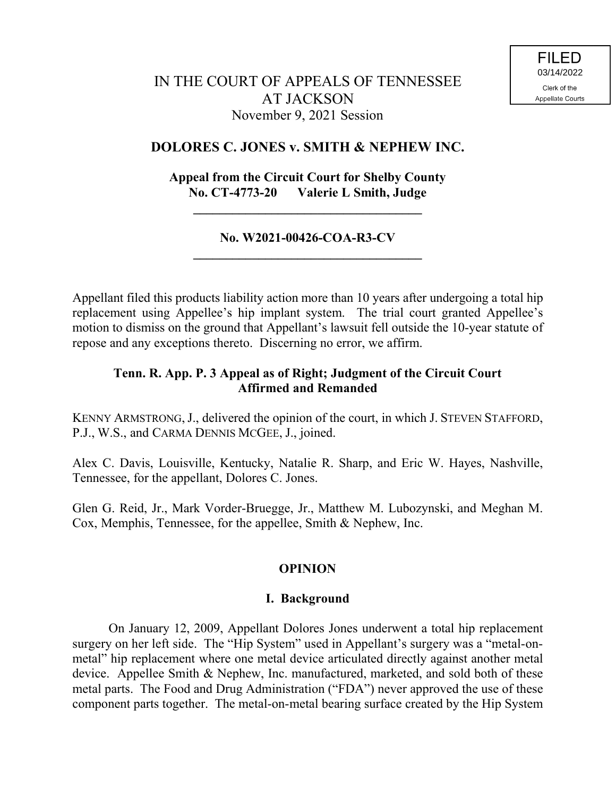## **DOLORES C. JONES v. SMITH & NEPHEW INC.**

# **Appeal from the Circuit Court for Shelby County No. CT-4773-20 Valerie L Smith, Judge**

**\_\_\_\_\_\_\_\_\_\_\_\_\_\_\_\_\_\_\_\_\_\_\_\_\_\_\_\_\_\_\_\_\_\_\_**

## **No. W2021-00426-COA-R3-CV \_\_\_\_\_\_\_\_\_\_\_\_\_\_\_\_\_\_\_\_\_\_\_\_\_\_\_\_\_\_\_\_\_\_\_**

Appellant filed this products liability action more than 10 years after undergoing a total hip replacement using Appellee's hip implant system. The trial court granted Appellee's motion to dismiss on the ground that Appellant's lawsuit fell outside the 10-year statute of repose and any exceptions thereto. Discerning no error, we affirm.

## **Tenn. R. App. P. 3 Appeal as of Right; Judgment of the Circuit Court Affirmed and Remanded**

KENNY ARMSTRONG,J., delivered the opinion of the court, in which J. STEVEN STAFFORD, P.J., W.S., and CARMA DENNIS MCGEE, J., joined.

Alex C. Davis, Louisville, Kentucky, Natalie R. Sharp, and Eric W. Hayes, Nashville, Tennessee, for the appellant, Dolores C. Jones.

Glen G. Reid, Jr., Mark Vorder-Bruegge, Jr., Matthew M. Lubozynski, and Meghan M. Cox, Memphis, Tennessee, for the appellee, Smith & Nephew, Inc.

## **OPINION**

### **I. Background**

On January 12, 2009, Appellant Dolores Jones underwent a total hip replacement surgery on her left side. The "Hip System" used in Appellant's surgery was a "metal-onmetal" hip replacement where one metal device articulated directly against another metal device. Appellee Smith & Nephew, Inc. manufactured, marketed, and sold both of these metal parts. The Food and Drug Administration ("FDA") never approved the use of these component parts together. The metal-on-metal bearing surface created by the Hip System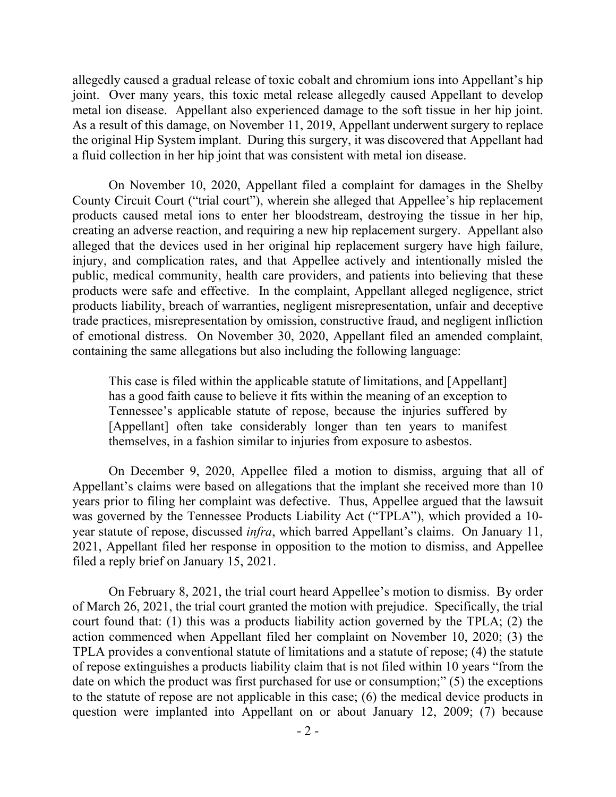allegedly caused a gradual release of toxic cobalt and chromium ions into Appellant's hip joint. Over many years, this toxic metal release allegedly caused Appellant to develop metal ion disease. Appellant also experienced damage to the soft tissue in her hip joint. As a result of this damage, on November 11, 2019, Appellant underwent surgery to replace the original Hip System implant. During this surgery, it was discovered that Appellant had a fluid collection in her hip joint that was consistent with metal ion disease.

On November 10, 2020, Appellant filed a complaint for damages in the Shelby County Circuit Court ("trial court"), wherein she alleged that Appellee's hip replacement products caused metal ions to enter her bloodstream, destroying the tissue in her hip, creating an adverse reaction, and requiring a new hip replacement surgery. Appellant also alleged that the devices used in her original hip replacement surgery have high failure, injury, and complication rates, and that Appellee actively and intentionally misled the public, medical community, health care providers, and patients into believing that these products were safe and effective. In the complaint, Appellant alleged negligence, strict products liability, breach of warranties, negligent misrepresentation, unfair and deceptive trade practices, misrepresentation by omission, constructive fraud, and negligent infliction of emotional distress. On November 30, 2020, Appellant filed an amended complaint, containing the same allegations but also including the following language:

This case is filed within the applicable statute of limitations, and [Appellant] has a good faith cause to believe it fits within the meaning of an exception to Tennessee's applicable statute of repose, because the injuries suffered by [Appellant] often take considerably longer than ten years to manifest themselves, in a fashion similar to injuries from exposure to asbestos.

On December 9, 2020, Appellee filed a motion to dismiss, arguing that all of Appellant's claims were based on allegations that the implant she received more than 10 years prior to filing her complaint was defective. Thus, Appellee argued that the lawsuit was governed by the Tennessee Products Liability Act ("TPLA"), which provided a 10 year statute of repose, discussed *infra*, which barred Appellant's claims. On January 11, 2021, Appellant filed her response in opposition to the motion to dismiss, and Appellee filed a reply brief on January 15, 2021.

On February 8, 2021, the trial court heard Appellee's motion to dismiss. By order of March 26, 2021, the trial court granted the motion with prejudice. Specifically, the trial court found that: (1) this was a products liability action governed by the TPLA; (2) the action commenced when Appellant filed her complaint on November 10, 2020; (3) the TPLA provides a conventional statute of limitations and a statute of repose; (4) the statute of repose extinguishes a products liability claim that is not filed within 10 years "from the date on which the product was first purchased for use or consumption;" (5) the exceptions to the statute of repose are not applicable in this case; (6) the medical device products in question were implanted into Appellant on or about January 12, 2009; (7) because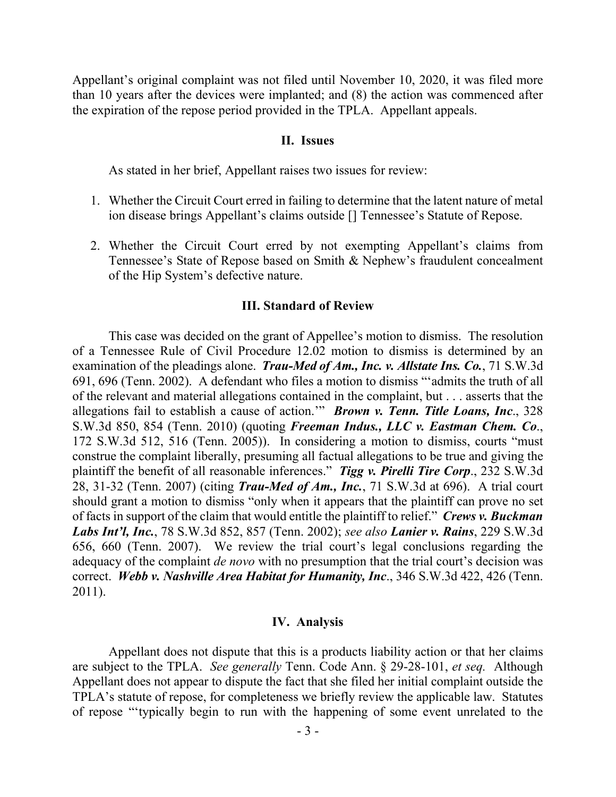Appellant's original complaint was not filed until November 10, 2020, it was filed more than 10 years after the devices were implanted; and (8) the action was commenced after the expiration of the repose period provided in the TPLA. Appellant appeals.

#### **II. Issues**

As stated in her brief, Appellant raises two issues for review:

- 1. Whether the Circuit Court erred in failing to determine that the latent nature of metal ion disease brings Appellant's claims outside [] Tennessee's Statute of Repose.
- 2. Whether the Circuit Court erred by not exempting Appellant's claims from Tennessee's State of Repose based on Smith & Nephew's fraudulent concealment of the Hip System's defective nature.

#### **III. Standard of Review**

This case was decided on the grant of Appellee's motion to dismiss. The resolution of a Tennessee Rule of Civil Procedure 12.02 motion to dismiss is determined by an examination of the pleadings alone. *Trau-Med of Am., Inc. v. Allstate Ins. Co.*, 71 S.W.3d 691, 696 (Tenn. 2002). A defendant who files a motion to dismiss "'admits the truth of all of the relevant and material allegations contained in the complaint, but . . . asserts that the allegations fail to establish a cause of action.'" *Brown v. Tenn. Title Loans, Inc*., 328 S.W.3d 850, 854 (Tenn. 2010) (quoting *Freeman Indus., LLC v. Eastman Chem. Co*., 172 S.W.3d 512, 516 (Tenn. 2005)). In considering a motion to dismiss, courts "must construe the complaint liberally, presuming all factual allegations to be true and giving the plaintiff the benefit of all reasonable inferences." *Tigg v. Pirelli Tire Corp*., 232 S.W.3d 28, 31-32 (Tenn. 2007) (citing *Trau-Med of Am., Inc.*, 71 S.W.3d at 696). A trial court should grant a motion to dismiss "only when it appears that the plaintiff can prove no set of facts in support of the claim that would entitle the plaintiff to relief." *Crews v. Buckman Labs Int'l, Inc.*, 78 S.W.3d 852, 857 (Tenn. 2002); *see also Lanier v. Rains*, 229 S.W.3d 656, 660 (Tenn. 2007). We review the trial court's legal conclusions regarding the adequacy of the complaint *de novo* with no presumption that the trial court's decision was correct. *Webb v. Nashville Area Habitat for Humanity, Inc*., 346 S.W.3d 422, 426 (Tenn. 2011).

#### **IV. Analysis**

Appellant does not dispute that this is a products liability action or that her claims are subject to the TPLA. *See generally* Tenn. Code Ann. § 29-28-101, *et seq.* Although Appellant does not appear to dispute the fact that she filed her initial complaint outside the TPLA's statute of repose, for completeness we briefly review the applicable law. Statutes of repose "'typically begin to run with the happening of some event unrelated to the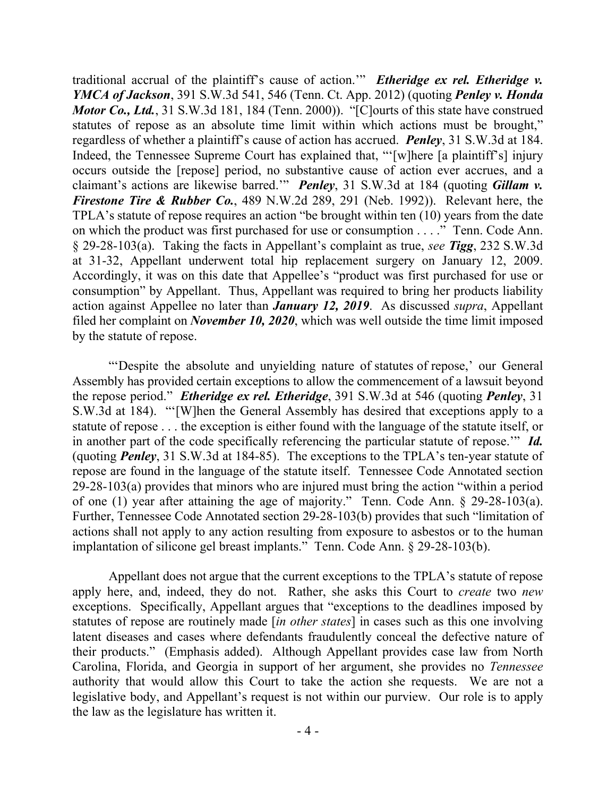traditional accrual of the plaintiff's cause of action.'" *Etheridge ex rel. Etheridge v. YMCA of Jackson*, 391 S.W.3d 541, 546 (Tenn. Ct. App. 2012) (quoting *Penley v. Honda Motor Co., Ltd.*, 31 S.W.3d 181, 184 (Tenn. 2000)). "[C]ourts of this state have construed statutes of repose as an absolute time limit within which actions must be brought," regardless of whether a plaintiff's cause of action has accrued. *Penley*, 31 S.W.3d at 184. Indeed, the Tennessee Supreme Court has explained that, "'[w]here [a plaintiff's] injury occurs outside the [repose] period, no substantive cause of action ever accrues, and a claimant's actions are likewise barred.'" *Penley*, 31 S.W.3d at 184 (quoting *Gillam v. Firestone Tire & Rubber Co.*, 489 N.W.2d 289, 291 (Neb. 1992)). Relevant here, the TPLA's statute of repose requires an action "be brought within ten (10) years from the date on which the product was first purchased for use or consumption . . . ." Tenn. Code Ann. § 29-28-103(a). Taking the facts in Appellant's complaint as true, *see Tigg*, 232 S.W.3d at 31-32, Appellant underwent total hip replacement surgery on January 12, 2009. Accordingly, it was on this date that Appellee's "product was first purchased for use or consumption" by Appellant. Thus, Appellant was required to bring her products liability action against Appellee no later than *January 12, 2019*. As discussed *supra*, Appellant filed her complaint on *November 10, 2020*, which was well outside the time limit imposed by the statute of repose.

"'Despite the absolute and unyielding nature of statutes of repose,' our General Assembly has provided certain exceptions to allow the commencement of a lawsuit beyond the repose period." *Etheridge ex rel. Etheridge*, 391 S.W.3d at 546 (quoting *Penley*, 31 S.W.3d at 184). "'[W]hen the General Assembly has desired that exceptions apply to a statute of repose . . . the exception is either found with the language of the statute itself, or in another part of the code specifically referencing the particular statute of repose.'" *Id.*  (quoting *Penley*, 31 S.W.3d at 184-85).The exceptions to the TPLA's ten-year statute of repose are found in the language of the statute itself. Tennessee Code Annotated section 29-28-103(a) provides that minors who are injured must bring the action "within a period of one (1) year after attaining the age of majority." Tenn. Code Ann. § 29-28-103(a). Further, Tennessee Code Annotated section 29-28-103(b) provides that such "limitation of actions shall not apply to any action resulting from exposure to asbestos or to the human implantation of silicone gel breast implants." Tenn. Code Ann. § 29-28-103(b).

Appellant does not argue that the current exceptions to the TPLA's statute of repose apply here, and, indeed, they do not. Rather, she asks this Court to *create* two *new*  exceptions. Specifically, Appellant argues that "exceptions to the deadlines imposed by statutes of repose are routinely made [*in other states*] in cases such as this one involving latent diseases and cases where defendants fraudulently conceal the defective nature of their products." (Emphasis added). Although Appellant provides case law from North Carolina, Florida, and Georgia in support of her argument, she provides no *Tennessee*  authority that would allow this Court to take the action she requests. We are not a legislative body, and Appellant's request is not within our purview. Our role is to apply the law as the legislature has written it.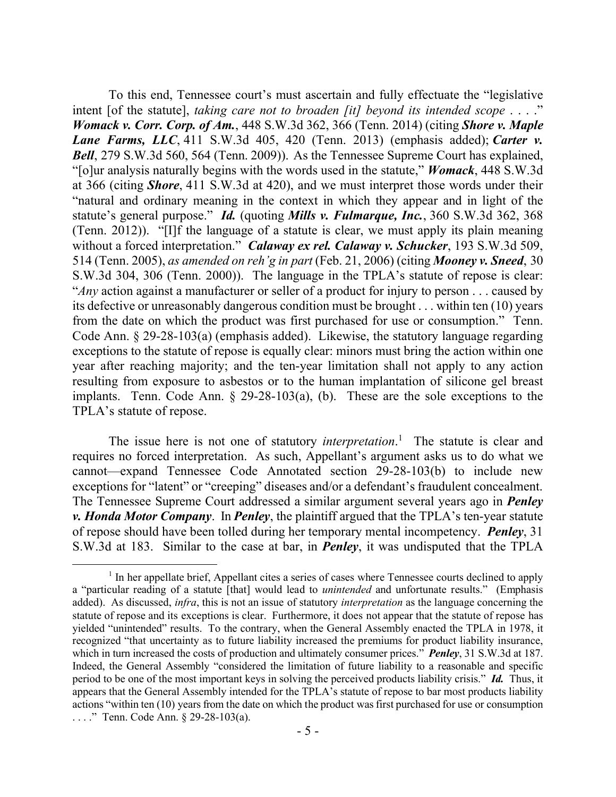To this end, Tennessee court's must ascertain and fully effectuate the "legislative intent [of the statute], *taking care not to broaden [it] beyond its intended scope* . . . ." *Womack v. Corr. Corp. of Am.*, 448 S.W.3d 362, 366 (Tenn. 2014) (citing *Shore v. Maple Lane Farms, LLC*, 411 S.W.3d 405, 420 (Tenn. 2013) (emphasis added); *Carter v. Bell*, 279 S.W.3d 560, 564 (Tenn. 2009)). As the Tennessee Supreme Court has explained, "[o]ur analysis naturally begins with the words used in the statute," *Womack*, 448 S.W.3d at 366 (citing *Shore*, 411 S.W.3d at 420), and we must interpret those words under their "natural and ordinary meaning in the context in which they appear and in light of the statute's general purpose." *Id.* (quoting *Mills v. Fulmarque, Inc.*, 360 S.W.3d 362, 368 (Tenn. 2012)). "[I]f the language of a statute is clear, we must apply its plain meaning without a forced interpretation." *Calaway ex rel. Calaway v. Schucker*, 193 S.W.3d 509, 514 (Tenn. 2005), *as amended on reh'g in part* (Feb. 21, 2006) (citing *Mooney v. Sneed*, 30 S.W.3d 304, 306 (Tenn. 2000)). The language in the TPLA's statute of repose is clear: "*Any* action against a manufacturer or seller of a product for injury to person . . . caused by its defective or unreasonably dangerous condition must be brought . . . within ten (10) years from the date on which the product was first purchased for use or consumption." Tenn. Code Ann. § 29-28-103(a) (emphasis added). Likewise, the statutory language regarding exceptions to the statute of repose is equally clear: minors must bring the action within one year after reaching majority; and the ten-year limitation shall not apply to any action resulting from exposure to asbestos or to the human implantation of silicone gel breast implants. Tenn. Code Ann. § 29-28-103(a), (b). These are the sole exceptions to the TPLA's statute of repose.

The issue here is not one of statutory *interpretation*. 1 The statute is clear and requires no forced interpretation. As such, Appellant's argument asks us to do what we cannot—expand Tennessee Code Annotated section 29-28-103(b) to include new exceptions for "latent" or "creeping" diseases and/or a defendant's fraudulent concealment. The Tennessee Supreme Court addressed a similar argument several years ago in *Penley v. Honda Motor Company*. In *Penley*, the plaintiff argued that the TPLA's ten-year statute of repose should have been tolled during her temporary mental incompetency. *Penley*, 31 S.W.3d at 183. Similar to the case at bar, in *Penley*, it was undisputed that the TPLA

 $\overline{a}$ 

<sup>&</sup>lt;sup>1</sup> In her appellate brief, Appellant cites a series of cases where Tennessee courts declined to apply a "particular reading of a statute [that] would lead to *unintended* and unfortunate results." (Emphasis added). As discussed, *infra*, this is not an issue of statutory *interpretation* as the language concerning the statute of repose and its exceptions is clear. Furthermore, it does not appear that the statute of repose has yielded "unintended" results. To the contrary, when the General Assembly enacted the TPLA in 1978, it recognized "that uncertainty as to future liability increased the premiums for product liability insurance, which in turn increased the costs of production and ultimately consumer prices." *Penley*, 31 S.W.3d at 187. Indeed, the General Assembly "considered the limitation of future liability to a reasonable and specific period to be one of the most important keys in solving the perceived products liability crisis." *Id.* Thus, it appears that the General Assembly intended for the TPLA's statute of repose to bar most products liability actions "within ten (10) years from the date on which the product was first purchased for use or consumption . . . ." Tenn. Code Ann. § 29-28-103(a).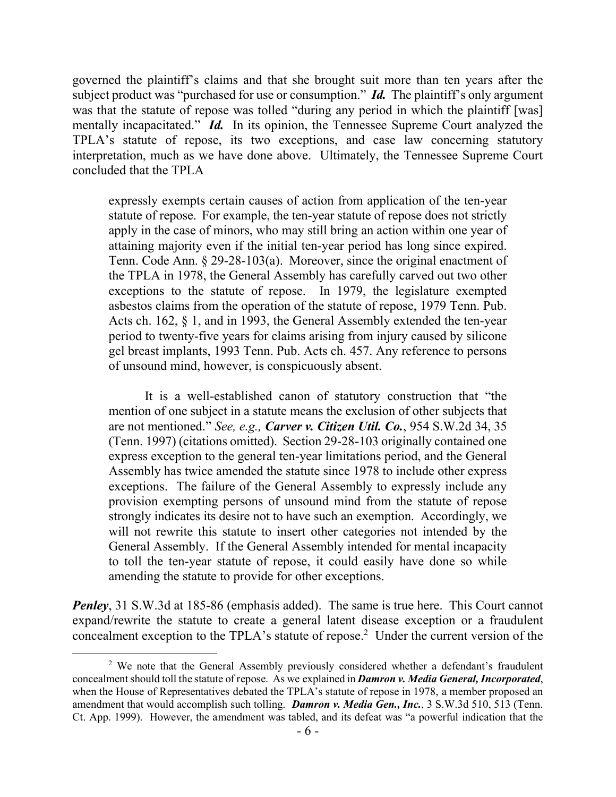governed the plaintiff's claims and that she brought suit more than ten years after the subject product was "purchased for use or consumption." *Id.* The plaintiff's only argument was that the statute of repose was tolled "during any period in which the plaintiff [was] mentally incapacitated." *Id.* In its opinion, the Tennessee Supreme Court analyzed the TPLA's statute of repose, its two exceptions, and case law concerning statutory interpretation, much as we have done above. Ultimately, the Tennessee Supreme Court concluded that the TPLA

expressly exempts certain causes of action from application of the ten-year statute of repose. For example, the ten-year statute of repose does not strictly apply in the case of minors, who may still bring an action within one year of attaining majority even if the initial ten-year period has long since expired. Tenn. Code Ann. § 29-28-103(a). Moreover, since the original enactment of the TPLA in 1978, the General Assembly has carefully carved out two other exceptions to the statute of repose. In 1979, the legislature exempted asbestos claims from the operation of the statute of repose, 1979 Tenn. Pub. Acts ch. 162, § 1, and in 1993, the General Assembly extended the ten-year period to twenty-five years for claims arising from injury caused by silicone gel breast implants, 1993 Tenn. Pub. Acts ch. 457. Any reference to persons of unsound mind, however, is conspicuously absent.

It is a well-established canon of statutory construction that "the mention of one subject in a statute means the exclusion of other subjects that are not mentioned." *See, e.g., Carver v. Citizen Util. Co.*, 954 S.W.2d 34, 35 (Tenn. 1997) (citations omitted). Section 29-28-103 originally contained one express exception to the general ten-year limitations period, and the General Assembly has twice amended the statute since 1978 to include other express exceptions. The failure of the General Assembly to expressly include any provision exempting persons of unsound mind from the statute of repose strongly indicates its desire not to have such an exemption. Accordingly, we will not rewrite this statute to insert other categories not intended by the General Assembly. If the General Assembly intended for mental incapacity to toll the ten-year statute of repose, it could easily have done so while amending the statute to provide for other exceptions.

*Penley*, 31 S.W.3d at 185-86 (emphasis added). The same is true here. This Court cannot expand/rewrite the statute to create a general latent disease exception or a fraudulent concealment exception to the TPLA's statute of repose. 2 Under the current version of the

 $\overline{a}$ 

<sup>&</sup>lt;sup>2</sup> We note that the General Assembly previously considered whether a defendant's fraudulent concealment should toll the statute of repose. As we explained in *Damron v. Media General, Incorporated*, when the House of Representatives debated the TPLA's statute of repose in 1978, a member proposed an amendment that would accomplish such tolling. *Damron v. Media Gen., Inc.*, 3 S.W.3d 510, 513 (Tenn. Ct. App. 1999). However, the amendment was tabled, and its defeat was "a powerful indication that the